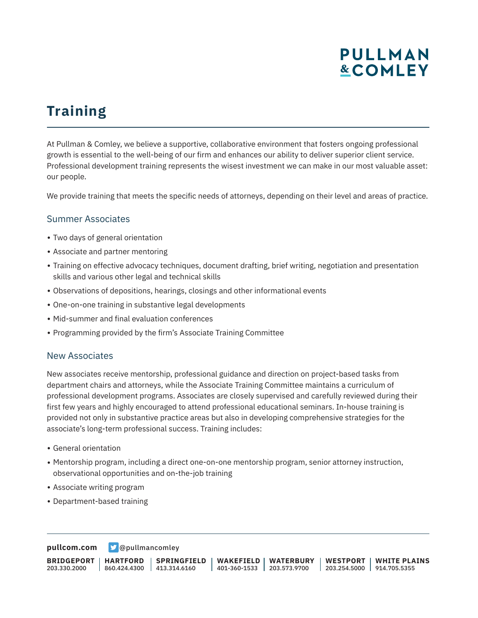## **PULLMAN &COMLEY**

# **Training**

At Pullman & Comley, we believe a supportive, collaborative environment that fosters ongoing professional growth is essential to the well-being of our firm and enhances our ability to deliver superior client service. Professional development training represents the wisest investment we can make in our most valuable asset: our people.

We provide training that meets the specific needs of attorneys, depending on their level and areas of practice.

#### Summer Associates

- Two days of general orientation
- Associate and partner mentoring
- Training on effective advocacy techniques, document drafting, brief writing, negotiation and presentation skills and various other legal and technical skills
- Observations of depositions, hearings, closings and other informational events
- One-on-one training in substantive legal developments
- Mid-summer and final evaluation conferences
- Programming provided by the firm's Associate Training Committee

#### New Associates

New associates receive mentorship, professional guidance and direction on project-based tasks from department chairs and attorneys, while the Associate Training Committee maintains a curriculum of professional development programs. Associates are closely supervised and carefully reviewed during their first few years and highly encouraged to attend professional educational seminars. In-house training is provided not only in substantive practice areas but also in developing comprehensive strategies for the associate's long-term professional success. Training includes:

- General orientation
- Mentorship program, including a direct one-on-one mentorship program, senior attorney instruction, observational opportunities and on-the-job training
- Associate writing program
- Department-based training

**[pullcom.com](https://www.pullcom.com) g** [@pullmancomley](https://twitter.com/PullmanComley)

**BRIDGEPORT** 203.330.2000 **HARTFORD** 860.424.4300 413.314.6160 **SPRINGFIELD WAKEFIELD WATERBURY** 401-360-1533 203.573.9700 **WESTPORT WHITE PLAINS** 203.254.5000 914.705.5355